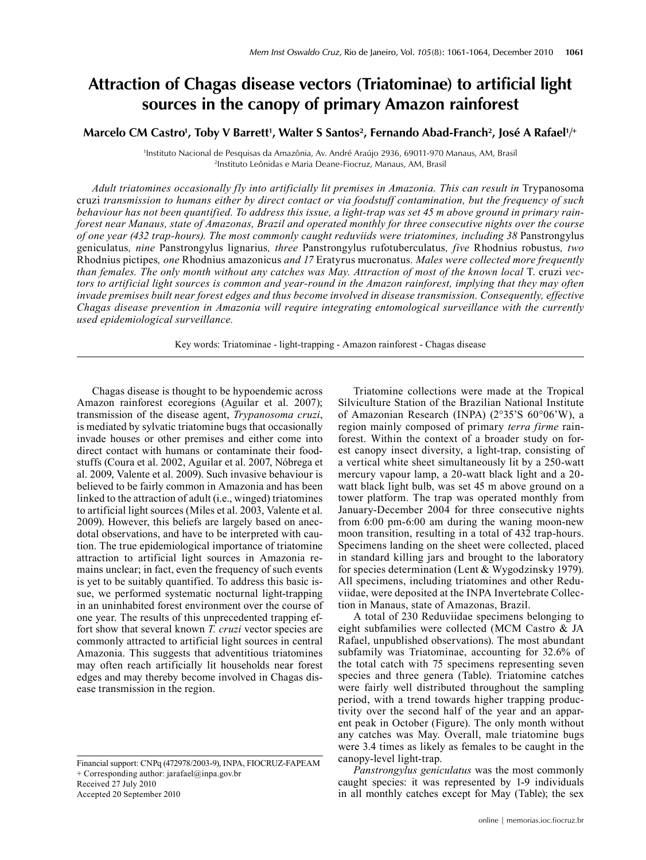## **Attraction of Chagas disease vectors (Triatominae) to artificial light sources in the canopy of primary Amazon rainforest**

Marcelo CM Castro', Toby V Barrett', Walter S Santos<sup>2</sup>, Fernando Abad-Franch<sup>2</sup>, José A Rafael'/+

1 Instituto Nacional de Pesquisas da Amazônia, Av. André Araújo 2936, 69011-970 Manaus, AM, Brasil 2 <sup>2</sup>Instituto Leônidas e Maria Deane-Fiocruz, Manaus, AM, Brasil

Adult triatomines occasionally fly into artificially lit premises in Amazonia. This can result in Trypanosoma cruzi *transmission to humans either by direct contact or via foodstuff contamination, but the frequency of such behaviour has not been quantified. To address this issue, a light-trap was set 45 m above ground in primary rainforest near Manaus, state of Amazonas, Brazil and operated monthly for three consecutive nights over the course of one year (432 trap-hours). The most commonly caught reduviids were triatomines, including 38* Panstrongylus geniculatus*, nine* Panstrongylus lignarius*, three* Panstrongylus rufotuberculatus*, five* Rhodnius robustus*, two*  Rhodnius pictipes*, one* Rhodnius amazonicus *and 17* Eratyrus mucronatus*. Males were collected more frequently than females. The only month without any catches was May. Attraction of most of the known local* T. cruzi *vectors to artificial light sources is common and year-round in the Amazon rainforest, implying that they may often invade premises built near forest edges and thus become involved in disease transmission. Consequently, effective Chagas disease prevention in Amazonia will require integrating entomological surveillance with the currently used epidemiological surveillance.*

Key words: Triatominae - light-trapping - Amazon rainforest - Chagas disease

Chagas disease is thought to be hypoendemic across Amazon rainforest ecoregions (Aguilar et al. 2007); transmission of the disease agent, *Trypanosoma cruzi*, is mediated by sylvatic triatomine bugs that occasionally invade houses or other premises and either come into direct contact with humans or contaminate their foodstuffs (Coura et al. 2002, Aguilar et al. 2007, Nóbrega et al. 2009, Valente et al. 2009). Such invasive behaviour is believed to be fairly common in Amazonia and has been linked to the attraction of adult (i.e., winged) triatomines to artificial light sources (Miles et al. 2003, Valente et al. 2009). However, this beliefs are largely based on anecdotal observations, and have to be interpreted with caution. The true epidemiological importance of triatomine attraction to artificial light sources in Amazonia remains unclear; in fact, even the frequency of such events is yet to be suitably quantified. To address this basic issue, we performed systematic nocturnal light-trapping in an uninhabited forest environment over the course of one year. The results of this unprecedented trapping effort show that several known *T. cruzi* vector species are commonly attracted to artificial light sources in central Amazonia. This suggests that adventitious triatomines may often reach artificially lit households near forest edges and may thereby become involved in Chagas disease transmission in the region.

Financial support: CNPq (472978/2003-9), INPA, Fiocruz-Fapeam + Corresponding author: jarafael@inpa.gov.br Received 27 July 2010 Accepted 20 September 2010

Triatomine collections were made at the Tropical Silviculture Station of the Brazilian National Institute of Amazonian Research (INPA) (2°35'S 60°06'W), a region mainly composed of primary *terra firme* rainforest. Within the context of a broader study on forest canopy insect diversity, a light-trap, consisting of a vertical white sheet simultaneously lit by a 250-watt mercury vapour lamp, a 20-watt black light and a 20 watt black light bulb, was set 45 m above ground on a tower platform. The trap was operated monthly from January-December 2004 for three consecutive nights from 6:00 pm-6:00 am during the waning moon-new moon transition, resulting in a total of 432 trap-hours. Specimens landing on the sheet were collected, placed in standard killing jars and brought to the laboratory for species determination (Lent & Wygodzinsky 1979). All specimens, including triatomines and other Reduviidae, were deposited at the INPA Invertebrate Collection in Manaus, state of Amazonas, Brazil.

A total of 230 Reduviidae specimens belonging to eight subfamilies were collected (MCM Castro & JA Rafael, unpublished observations). The most abundant subfamily was Triatominae, accounting for 32.6% of the total catch with 75 specimens representing seven species and three genera (Table). Triatomine catches were fairly well distributed throughout the sampling period, with a trend towards higher trapping productivity over the second half of the year and an apparent peak in October (Figure). The only month without any catches was May. Overall, male triatomine bugs were 3.4 times as likely as females to be caught in the canopy-level light-trap.

*Panstrongylus geniculatus* was the most commonly caught species: it was represented by 1-9 individuals in all monthly catches except for May (Table); the sex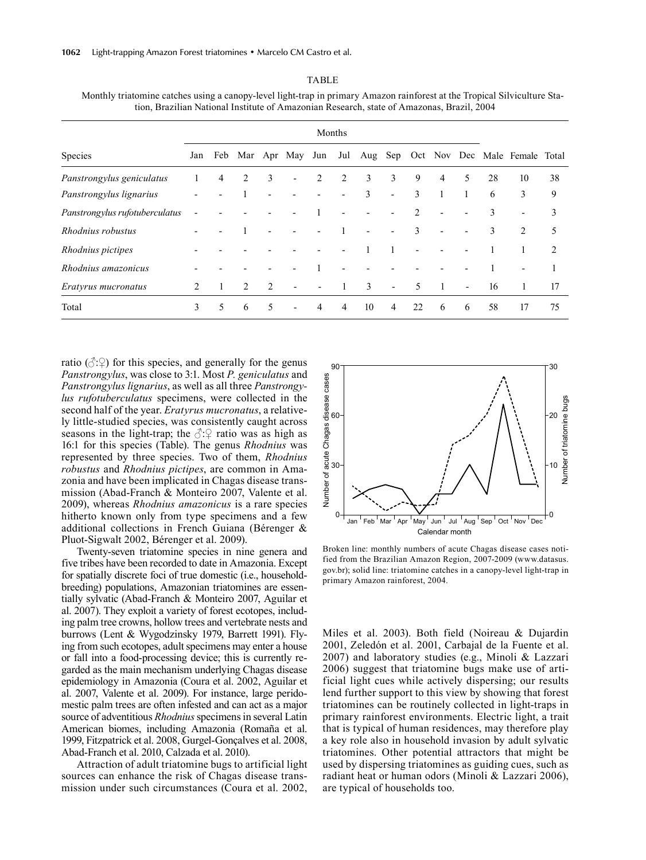|                                | Months                      |   |                |   |                          |     |                |    |                          |                |   |   |    |                                       |    |
|--------------------------------|-----------------------------|---|----------------|---|--------------------------|-----|----------------|----|--------------------------|----------------|---|---|----|---------------------------------------|----|
| Species                        | Jan                         |   |                |   | Feb Mar Apr May          | Jun | Jul            |    |                          |                |   |   |    | Aug Sep Oct Nov Dec Male Female Total |    |
| Panstrongylus geniculatus      |                             | 4 | 2              | 3 | $\overline{\phantom{0}}$ | 2   | 2              | 3  | 3                        | 9              | 4 | 5 | 28 | 10                                    | 38 |
| Panstrongylus lignarius        |                             |   |                |   |                          |     |                | 3  |                          | 3              |   |   | 6  | 3                                     | 9  |
| Panstrongylus rufotuberculatus |                             |   |                |   |                          |     |                |    |                          | $\mathfrak{D}$ |   |   | 3  | $\overline{\phantom{0}}$              | 3  |
| Rhodnius robustus              |                             |   |                |   |                          |     |                |    |                          | 3              |   |   | 3  | 2                                     | 5  |
| Rhodnius pictipes              |                             |   |                |   |                          |     |                |    |                          |                |   |   |    |                                       | 2  |
| Rhodnius amazonicus            |                             |   |                |   |                          |     |                |    |                          |                |   |   |    |                                       |    |
| Eratyrus mucronatus            | $\mathcal{D}_{\mathcal{A}}$ |   | $\mathfrak{D}$ | 2 |                          |     |                | 3  | $\overline{\phantom{0}}$ | 5              |   |   | 16 | 1                                     | 17 |
| Total                          | 3                           | 5 | 6              | 5 |                          | 4   | $\overline{4}$ | 10 | $\overline{4}$           | 22             | 6 | 6 | 58 | 17                                    | 75 |

TABLE Monthly triatomine catches using a canopy-level light-trap in primary Amazon rainforest at the Tropical Silviculture Station, Brazilian National Institute of Amazonian Research, state of Amazonas, Brazil, 2004

ratio  $(\Diamond \Diamond)$  for this species, and generally for the genus *Panstrongylus*, was close to 3:1. Most *P. geniculatus* and *Panstrongylus lignarius*, as well as all three *Panstrongylus rufotuberculatus* specimens, were collected in the second half of the year. *Eratyrus mucronatus*, a relatively little-studied species, was consistently caught across seasons in the light-trap; the  $\Diamond$ : $\Diamond$  ratio was as high as 16:1 for this species (Table). The genus *Rhodnius* was represented by three species. Two of them, *Rhodnius robustus* and *Rhodnius pictipes*, are common in Amazonia and have been implicated in Chagas disease transmission (Abad-Franch & Monteiro 2007, Valente et al. 2009), whereas *Rhodnius amazonicus* is a rare species hitherto known only from type specimens and a few additional collections in French Guiana (Bérenger & Pluot-Sigwalt 2002, Bérenger et al. 2009).

Twenty-seven triatomine species in nine genera and five tribes have been recorded to date in Amazonia. Except for spatially discrete foci of true domestic (i.e., householdbreeding) populations, Amazonian triatomines are essentially sylvatic (Abad-Franch & Monteiro 2007, Aguilar et al. 2007). They exploit a variety of forest ecotopes, including palm tree crowns, hollow trees and vertebrate nests and burrows (Lent & Wygodzinsky 1979, Barrett 1991). Flying from such ecotopes, adult specimens may enter a house or fall into a food-processing device; this is currently regarded as the main mechanism underlying Chagas disease epidemiology in Amazonia (Coura et al. 2002, Aguilar et al. 2007, Valente et al. 2009). For instance, large peridomestic palm trees are often infested and can act as a major source of adventitious *Rhodnius* specimens in several Latin American biomes, including Amazonia (Romaña et al. 1999, Fitzpatrick et al. 2008, Gurgel-Gonçalves et al. 2008, Abad-Franch et al. 2010, Calzada et al. 2010).

Attraction of adult triatomine bugs to artificial light sources can enhance the risk of Chagas disease transmission under such circumstances (Coura et al. 2002,



Broken line: monthly numbers of acute Chagas disease cases notified from the Brazilian Amazon Region, 2007-2009 (www.datasus. gov.br); solid line: triatomine catches in a canopy-level light-trap in primary Amazon rainforest, 2004.

Miles et al. 2003). Both field (Noireau & Dujardin 2001, Zeledón et al. 2001, Carbajal de la Fuente et al. 2007) and laboratory studies (e.g., Minoli & Lazzari 2006) suggest that triatomine bugs make use of artificial light cues while actively dispersing; our results lend further support to this view by showing that forest triatomines can be routinely collected in light-traps in primary rainforest environments. Electric light, a trait that is typical of human residences, may therefore play a key role also in household invasion by adult sylvatic triatomines. Other potential attractors that might be used by dispersing triatomines as guiding cues, such as radiant heat or human odors (Minoli & Lazzari 2006), are typical of households too.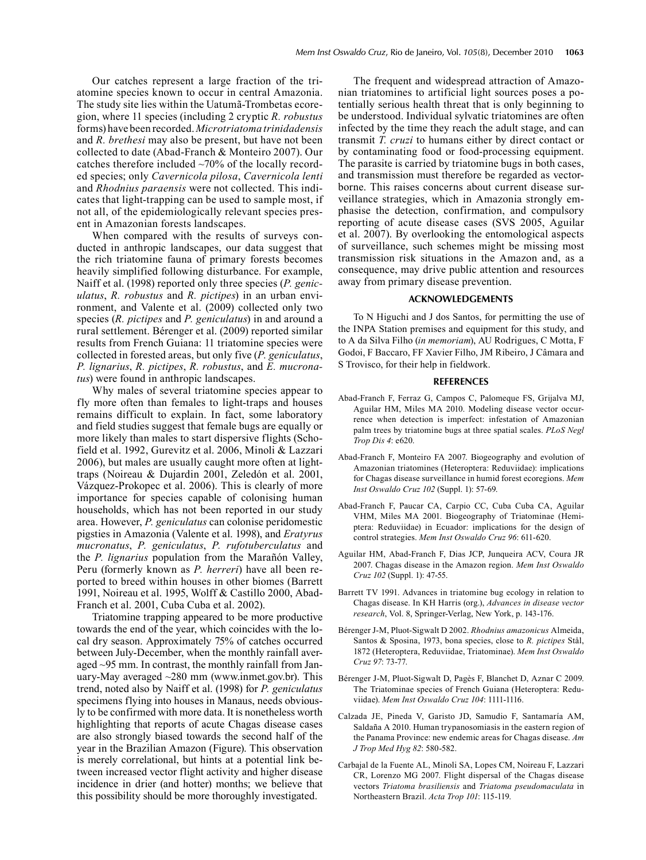Our catches represent a large fraction of the triatomine species known to occur in central Amazonia. The study site lies within the Uatumã-Trombetas ecoregion, where 11 species (including 2 cryptic *R. robustus* forms) have been recorded. *Microtriatoma trinidadensis* and *R. brethesi* may also be present, but have not been collected to date (Abad-Franch & Monteiro 2007). Our catches therefore included  $~10\%$  of the locally recorded species; only *Cavernicola pilosa*, *Cavernicola lenti* and *Rhodnius paraensis* were not collected. This indicates that light-trapping can be used to sample most, if not all, of the epidemiologically relevant species present in Amazonian forests landscapes.

When compared with the results of surveys conducted in anthropic landscapes, our data suggest that the rich triatomine fauna of primary forests becomes heavily simplified following disturbance. For example, Naiff et al. (1998) reported only three species (*P. geniculatus*, *R. robustus* and *R. pictipes*) in an urban environment, and Valente et al. (2009) collected only two species (*R. pictipes* and *P. geniculatus*) in and around a rural settlement. Bérenger et al. (2009) reported similar results from French Guiana: 11 triatomine species were collected in forested areas, but only five (*P. geniculatus*, *P. lignarius*, *R. pictipes*, *R. robustus*, and *E. mucronatus*) were found in anthropic landscapes.

Why males of several triatomine species appear to fly more often than females to light-traps and houses remains difficult to explain. In fact, some laboratory and field studies suggest that female bugs are equally or more likely than males to start dispersive flights (Schofield et al. 1992, Gurevitz et al. 2006, Minoli & Lazzari 2006), but males are usually caught more often at lighttraps (Noireau & Dujardin 2001, Zeledón et al. 2001, Vázquez-Prokopec et al. 2006). This is clearly of more importance for species capable of colonising human households, which has not been reported in our study area. However, *P. geniculatus* can colonise peridomestic pigsties in Amazonia (Valente et al. 1998), and *Eratyrus mucronatus*, *P. geniculatus*, *P. rufotuberculatus* and the *P. lignarius* population from the Marañón Valley, Peru (formerly known as *P. herreri*) have all been reported to breed within houses in other biomes (Barrett 1991, Noireau et al. 1995, Wolff & Castillo 2000, Abad-Franch et al. 2001, Cuba Cuba et al. 2002).

Triatomine trapping appeared to be more productive towards the end of the year, which coincides with the local dry season. Approximately 75% of catches occurred between July-December, when the monthly rainfall averaged ~95 mm. In contrast, the monthly rainfall from January-May averaged ~280 mm (www.inmet.gov.br). This trend, noted also by Naiff et al. (1998) for *P. geniculatus* specimens flying into houses in Manaus, needs obviously to be confirmed with more data. It is nonetheless worth highlighting that reports of acute Chagas disease cases are also strongly biased towards the second half of the year in the Brazilian Amazon (Figure). This observation is merely correlational, but hints at a potential link between increased vector flight activity and higher disease incidence in drier (and hotter) months; we believe that this possibility should be more thoroughly investigated.

The frequent and widespread attraction of Amazonian triatomines to artificial light sources poses a potentially serious health threat that is only beginning to be understood. Individual sylvatic triatomines are often infected by the time they reach the adult stage, and can transmit *T. cruzi* to humans either by direct contact or by contaminating food or food-processing equipment. The parasite is carried by triatomine bugs in both cases, and transmission must therefore be regarded as vectorborne. This raises concerns about current disease surveillance strategies, which in Amazonia strongly emphasise the detection, confirmation, and compulsory reporting of acute disease cases (SVS 2005, Aguilar et al. 2007). By overlooking the entomological aspects of surveillance, such schemes might be missing most transmission risk situations in the Amazon and, as a consequence, may drive public attention and resources away from primary disease prevention.

## **Acknowledgements**

To N Higuchi and J dos Santos, for permitting the use of the INPA Station premises and equipment for this study, and to A da Silva Filho (*in memoriam*), AU Rodrigues, C Motta, F Godoi, F Baccaro, FF Xavier Filho, JM Ribeiro, J Câmara and S Trovisco, for their help in fieldwork.

## **References**

- Abad-Franch F, Ferraz G, Campos C, Palomeque FS, Grijalva MJ, Aguilar HM, Miles MA 2010. Modeling disease vector occurrence when detection is imperfect: infestation of Amazonian palm trees by triatomine bugs at three spatial scales. *PLoS Negl Trop Dis 4*: e620.
- Abad-Franch F, Monteiro FA 2007. Biogeography and evolution of Amazonian triatomines (Heteroptera: Reduviidae): implications for Chagas disease surveillance in humid forest ecoregions. *Mem Inst Oswaldo Cruz 102* (Suppl. 1): 57-69.
- Abad-Franch F, Paucar CA, Carpio CC, Cuba Cuba CA, Aguilar VHM, Miles MA 2001. Biogeography of Triatominae (Hemiptera: Reduviidae) in Ecuador: implications for the design of control strategies. *Mem Inst Oswaldo Cruz 96*: 611-620.
- Aguilar HM, Abad-Franch F, Dias JCP, Junqueira ACV, Coura JR 2007. Chagas disease in the Amazon region. *Mem Inst Oswaldo Cruz 102* (Suppl. 1): 47-55.
- Barrett TV 1991. Advances in triatomine bug ecology in relation to Chagas disease. In KH Harris (org.), *Advances in disease vector research*, Vol. 8, Springer-Verlag, New York, p. 143-176.
- Bérenger J-M, Pluot-Sigwalt D 2002. *Rhodnius amazonicus* Almeida, Santos & Sposina, 1973, bona species, close to *R. pictipes* Stål, 1872 (Heteroptera, Reduviidae, Triatominae). *Mem Inst Oswaldo Cruz 97*: 73-77.
- Bérenger J-M, Pluot-Sigwalt D, Pagès F, Blanchet D, Aznar C 2009. The Triatominae species of French Guiana (Heteroptera: Reduviidae). *Mem Inst Oswaldo Cruz 104*: 1111-1116.
- Calzada JE, Pineda V, Garisto JD, Samudio F, Santamaría AM, Saldaña A 2010. Human trypanosomiasis in the eastern region of the Panama Province: new endemic areas for Chagas disease. *Am J Trop Med Hyg 82*: 580-582.
- Carbajal de la Fuente AL, Minoli SA, Lopes CM, Noireau F, Lazzari CR, Lorenzo MG 2007. Flight dispersal of the Chagas disease vectors *Triatoma brasiliensis* and *Triatoma pseudomaculata* in Northeastern Brazil. *Acta Trop 101*: 115-119.